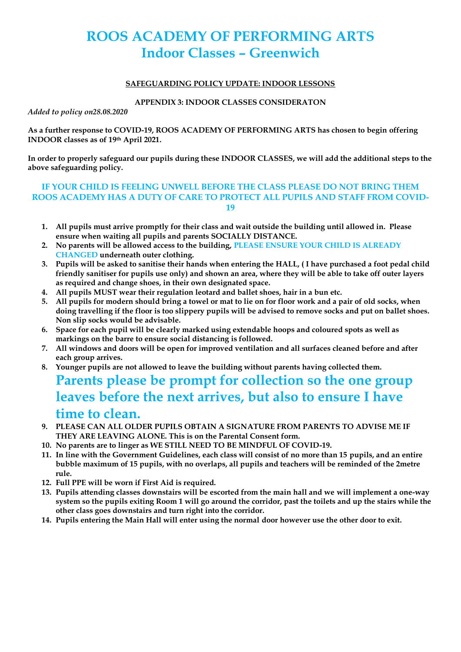# **ROOS ACADEMY OF PERFORMING ARTS Indoor Classes – Greenwich**

#### **SAFEGUARDING POLICY UPDATE: INDOOR LESSONS**

#### **APPENDIX 3: INDOOR CLASSES CONSIDERATON**

*Added to policy on28.08.2020*

**As a further response to COVID-19, ROOS ACADEMY OF PERFORMING ARTS has chosen to begin offering INDOOR classes as of 19th April 2021.**

**In order to properly safeguard our pupils during these INDOOR CLASSES, we will add the additional steps to the above safeguarding policy.**

#### **IF YOUR CHILD IS FEELING UNWELL BEFORE THE CLASS PLEASE DO NOT BRING THEM ROOS ACADEMY HAS A DUTY OF CARE TO PROTECT ALL PUPILS AND STAFF FROM COVID-19**

- **1. All pupils must arrive promptly for their class and wait outside the building until allowed in. Please ensure when waiting all pupils and parents SOCIALLY DISTANCE.**
- **2. No parents will be allowed access to the building, PLEASE ENSURE YOUR CHILD IS ALREADY CHANGED underneath outer clothing.**
- **3. Pupils will be asked to sanitise their hands when entering the HALL, ( I have purchased a foot pedal child friendly sanitiser for pupils use only) and shown an area, where they will be able to take off outer layers as required and change shoes, in their own designated space.**
- **4. All pupils MUST wear their regulation leotard and ballet shoes, hair in a bun etc.**
- **5. All pupils for modern should bring a towel or mat to lie on for floor work and a pair of old socks, when doing travelling if the floor is too slippery pupils will be advised to remove socks and put on ballet shoes. Non slip socks would be advisable.**
- **6. Space for each pupil will be clearly marked using extendable hoops and coloured spots as well as markings on the barre to ensure social distancing is followed.**
- **7. All windows and doors will be open for improved ventilation and all surfaces cleaned before and after each group arrives.**
- **8. Younger pupils are not allowed to leave the building without parents having collected them.**

# **Parents please be prompt for collection so the one group leaves before the next arrives, but also to ensure I have time to clean.**

- **9. PLEASE CAN ALL OLDER PUPILS OBTAIN A SIGNATURE FROM PARENTS TO ADVISE ME IF THEY ARE LEAVING ALONE. This is on the Parental Consent form.**
- **10. No parents are to linger as WE STILL NEED TO BE MINDFUL OF COVID-19.**
- **11. In line with the Government Guidelines, each class will consist of no more than 15 pupils, and an entire bubble maximum of 15 pupils, with no overlaps, all pupils and teachers will be reminded of the 2metre rule.**
- **12. Full PPE will be worn if First Aid is required.**
- **13. Pupils attending classes downstairs will be escorted from the main hall and we will implement a one-way system so the pupils exiting Room 1 will go around the corridor, past the toilets and up the stairs while the other class goes downstairs and turn right into the corridor.**
- **14. Pupils entering the Main Hall will enter using the normal door however use the other door to exit.**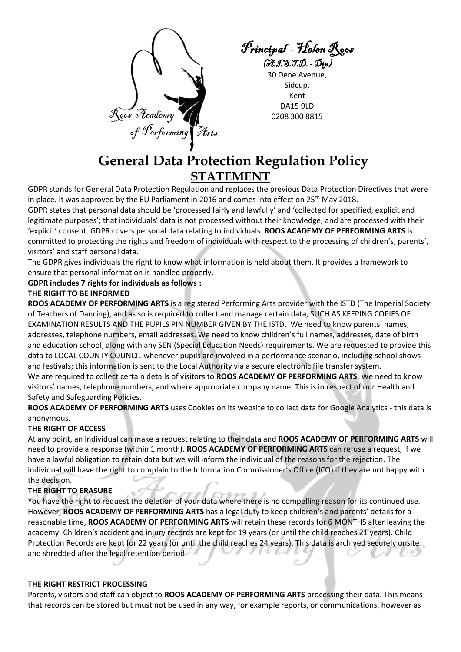Rocs Heademy of  $\mathscr{I}$ erforming | Arts

Principal – Helen Roos  $(\mathcal{J}\mathcal{J}\mathcal{J}\mathcal{J}\mathcal{J}\mathcal{J}\mathcal{D})$ .  $\mathcal{D}_{ip}$ 

30 Dene Avenue, Sidcup, Kent DA15 9LD 0208 300 8815

## **General Data Protection Regulation Policy STATEMENT**

GDPR stands for General Data Protection Regulation and replaces the previous Data Protection Directives that were in place. It was approved by the EU Parliament in 2016 and comes into effect on  $25<sup>th</sup>$  May 2018.

GDPR states that personal data should be 'processed fairly and lawfully' and 'collected for specified, explicit and legitimate purposes'; that individuals' data is not processed without their knowledge; and are processed with their 'explicit' consent. GDPR covers personal data relating to individuals. **ROOS ACADEMY OF PERFORMING ARTS** is committed to protecting the rights and freedom of individuals with respect to the processing of children's, parents', visitors' and staff personal data.

The GDPR gives individuals the right to know what information is held about them. It provides a framework to ensure that personal information is handled properly.

**GDPR includes 7 rights for individuals as follows :**

#### **THE RIGHT TO BE INFORMED**

**ROOS ACADEMY OF PERFORMING ARTS** is a registered Performing Arts provider with the ISTD (The Imperial Society of Teachers of Dancing), and as so is required to collect and manage certain data, SUCH AS KEEPING COPIES OF EXAMINATION RESULTS AND THE PUPILS PIN NUMBER GIVEN BY THE ISTD. We need to know parents' names, addresses, telephone numbers, email addresses. We need to know children's full names, addresses, date of birth and education school, along with any SEN (Special Education Needs) requirements. We are requested to provide this data to LOCAL COUNTY COUNCIL whenever pupils are involved in a performance scenario, including school shows and festivals; this information is sent to the Local Authority via a secure electronic file transfer system. We are required to collect certain details of visitors to **ROOS ACADEMY OF PERFORMING ARTS**. We need to know visitors' names, telephone numbers, and where appropriate company name. This is in respect of our Health and Safety and Safeguarding Policies.

**ROOS ACADEMY OF PERFORMING ARTS** uses Cookies on its website to collect data for Google Analytics - this data is anonymous.

#### **THE RIGHT OF ACCESS**

At any point, an individual can make a request relating to their data and **ROOS ACADEMY OF PERFORMING ARTS** will need to provide a response (within 1 month). **ROOS ACADEMY OF PERFORMING ARTS** can refuse a request, if we have a lawful obligation to retain data but we will inform the individual of the reasons for the rejection. The individual will have the right to complain to the Information Commissioner's Office (ICO) if they are not happy with the decision.

### **THE RIGHT TO ERASURE**

You have the right to request the deletion of your data where there is no compelling reason for its continued use. However, **ROOS ACADEMY OF PERFORMING ARTS** has a legal duty to keep children's and parents' details for a reasonable time, **ROOS ACADEMY OF PERFORMING ARTS** will retain these records for 6 MONTHS after leaving the academy. Children's accident and injury records are kept for 19 years (or until the child reaches 21 years). Child Protection Records are kept for 22 years (or until the child reaches 24 years). This data is archived securely onsite and shredded after the legal retention period.

#### **THE RIGHT RESTRICT PROCESSING**

Parents, visitors and staff can object to **ROOS ACADEMY OF PERFORMING ARTS** processing their data. This means that records can be stored but must not be used in any way, for example reports, or communications, however as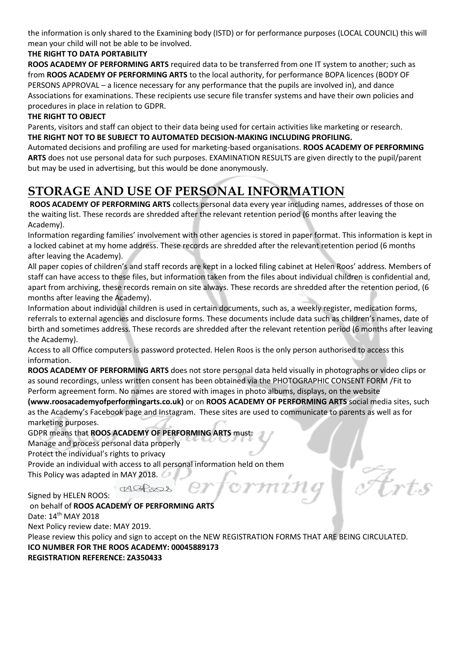the information is only shared to the Examining body (ISTD) or for performance purposes (LOCAL COUNCIL) this will mean your child will not be able to be involved.

### **THE RIGHT TO DATA PORTABILITY**

**ROOS ACADEMY OF PERFORMING ARTS** required data to be transferred from one IT system to another; such as from **ROOS ACADEMY OF PERFORMING ARTS** to the local authority, for performance BOPA licences (BODY OF PERSONS APPROVAL – a licence necessary for any performance that the pupils are involved in), and dance Associations for examinations. These recipients use secure file transfer systems and have their own policies and procedures in place in relation to GDPR.

#### **THE RIGHT TO OBJECT**

Parents, visitors and staff can object to their data being used for certain activities like marketing or research. **THE RIGHT NOT TO BE SUBJECT TO AUTOMATED DECISION-MAKING INCLUDING PROFILING.**

Automated decisions and profiling are used for marketing-based organisations. **ROOS ACADEMY OF PERFORMING ARTS** does not use personal data for such purposes. EXAMINATION RESULTS are given directly to the pupil/parent but may be used in advertising, but this would be done anonymously.

## **STORAGE AND USE OF PERSONAL INFORMATION**

**ROOS ACADEMY OF PERFORMING ARTS** collects personal data every year including names, addresses of those on the waiting list. These records are shredded after the relevant retention period (6 months after leaving the Academy).

Information regarding families' involvement with other agencies is stored in paper format. This information is kept in a locked cabinet at my home address. These records are shredded after the relevant retention period (6 months after leaving the Academy).

All paper copies of children's and staff records are kept in a locked filing cabinet at Helen Roos' address. Members of staff can have access to these files, but information taken from the files about individual children is confidential and, apart from archiving, these records remain on site always. These records are shredded after the retention period, (6 months after leaving the Academy).

Information about individual children is used in certain documents, such as, a weekly register, medication forms, referrals to external agencies and disclosure forms. These documents include data such as children's names, date of birth and sometimes address. These records are shredded after the relevant retention period (6 months after leaving the Academy).

Access to all Office computers is password protected. Helen Roos is the only person authorised to access this information.

**ROOS ACADEMY OF PERFORMING ARTS** does not store personal data held visually in photographs or video clips or as sound recordings, unless written consent has been obtained via the PHOTOGRAPHIC CONSENT FORM /Fit to Perform agreement form. No names are stored with images in photo albums, displays, on the website

**(www.roosacademyofperformingarts.co.uk)** or on **ROOS ACADEMY OF PERFORMING ARTS** social media sites, such as the Academy's Facebook page and Instagram. These sites are used to communicate to parents as well as for marketing purposes.

GDPR means that **ROOS ACADEMY OF PERFORMING ARTS** must:

Manage and process personal data properly

Protect the individual's rights to privacy

Provide an individual with access to all personal information held on them

This Policy was adapted in MAY 2018.

Signed by HELEN ROOS:

on behalf of **ROOS ACADEMY OF PERFORMING ARTS** Date: 14<sup>th</sup> MAY 2018 Next Policy review date: MAY 2019. Please review this policy and sign to accept on the NEW REGISTRATION FORMS THAT ARE BEING CIRCULATED. **ICO NUMBER FOR THE ROOS ACADEMY: 00045889173 REGISTRATION REFERENCE: ZA350433**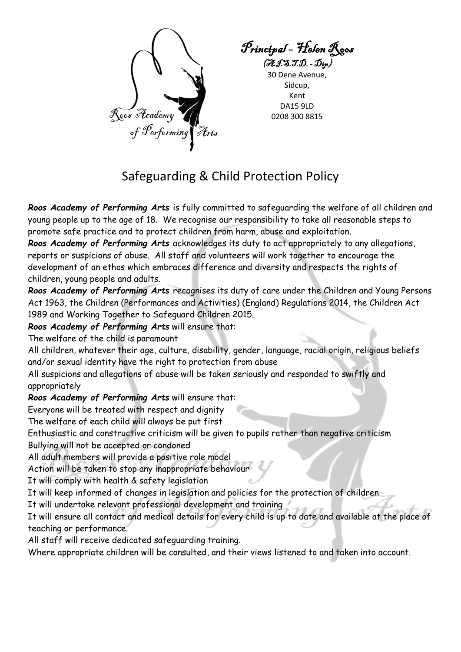

Principal – Helen Roos  $(\mathcal{J}\mathcal{J}\mathcal{J}\mathcal{J}\mathcal{J}\mathcal{J}\mathcal{L})$ .  $\mathcal{D}_{ip}$ 

30 Dene Avenue, Sidcup, Kent DA15 9LD 0208 300 8815

## Safeguarding & Child Protection Policy

*Roos Academy of Performing Arts* is fully committed to safeguarding the welfare of all children and young people up to the age of 18. We recognise our responsibility to take all reasonable steps to promote safe practice and to protect children from harm, abuse and exploitation.

*Roos Academy of Performing Arts* acknowledges its duty to act appropriately to any allegations, reports or suspicions of abuse. All staff and volunteers will work together to encourage the development of an ethos which embraces difference and diversity and respects the rights of children, young people and adults.

*Roos Academy of Performing Arts* recognises its duty of care under the Children and Young Persons Act 1963, the Children (Performances and Activities) (England) Regulations 2014, the Children Act 1989 and Working Together to Safeguard Children 2015.

*Roos Academy of Performing Arts* will ensure that:

The welfare of the child is paramount

All children, whatever their age, culture, disability, gender, language, racial origin, religious beliefs and/or sexual identity have the right to protection from abuse

All suspicions and allegations of abuse will be taken seriously and responded to swiftly and appropriately

*Roos Academy of Performing Arts* will ensure that:

Everyone will be treated with respect and dignity

The welfare of each child will always be put first

Enthusiastic and constructive criticism will be given to pupils rather than negative criticism

Bullying will not be accepted or condoned

All adult members will provide a positive role model

Action will be taken to stop any inappropriate behaviour

It will comply with health & safety legislation

It will keep informed of changes in legislation and policies for the protection of children

It will undertake relevant professional development and training

It will ensure all contact and medical details for every child is up to date and available at the place of teaching or performance.

All staff will receive dedicated safeguarding training.

Where appropriate children will be consulted, and their views listened to and taken into account.